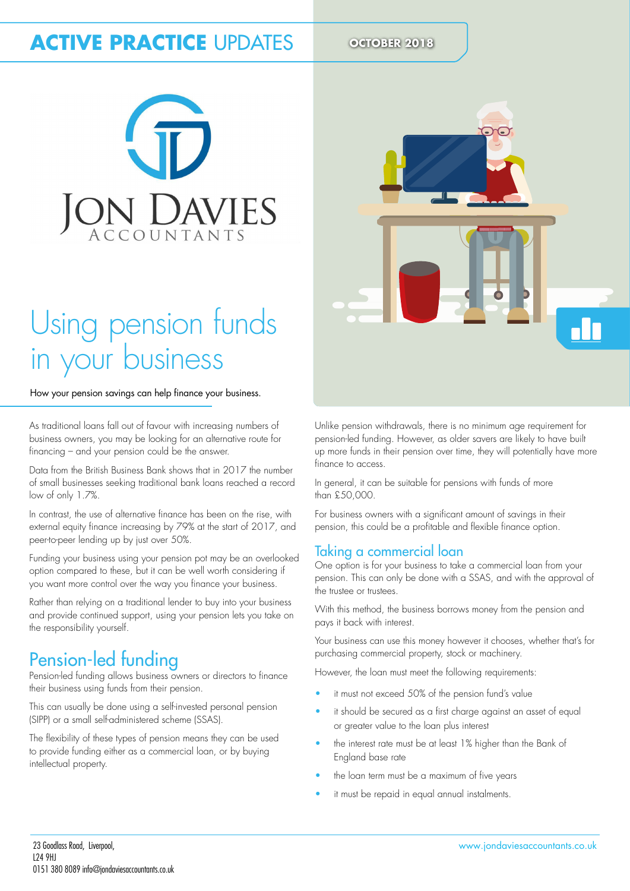# **ACTIVE PRACTICE UPDATES OCTOBER 2018**



# Using pension funds in your business

#### How your pension savings can help finance your business.

As traditional loans fall out of favour with increasing numbers of business owners, you may be looking for an alternative route for inancing – and your pension could be the answer.

Data from the British Business Bank shows that in 2017 the number of small businesses seeking traditional bank loans reached a record low of only 1.7%.

In contrast, the use of alternative finance has been on the rise, with external equity finance increasing by 79% at the start of 2017, and peer-to-peer lending up by just over 50%.

Funding your business using your pension pot may be an overlooked option compared to these, but it can be well worth considering if you want more control over the way you finance your business.

Rather than relying on a traditional lender to buy into your business and provide continued support, using your pension lets you take on the responsibility yourself.

## Pension-led funding

Pension-led funding allows business owners or directors to finance their business using funds from their pension.

This can usually be done using a self-invested personal pension (SIPP) or a small self-administered scheme (SSAS).

The flexibility of these types of pension means they can be used to provide funding either as a commercial loan, or by buying intellectual property.



Unlike pension withdrawals, there is no minimum age requirement for pension-led funding. However, as older savers are likely to have built up more funds in their pension over time, they will potentially have more inance to access.

In general, it can be suitable for pensions with funds of more than £50,000.

For business owners with a significant amount of savings in their pension, this could be a profitable and flexible finance option.

### Taking a commercial loan

One option is for your business to take a commercial loan from your pension. This can only be done with a SSAS, and with the approval of the trustee or trustees.

With this method, the business borrows money from the pension and pays it back with interest.

Your business can use this money however it chooses, whether that's for purchasing commercial property, stock or machinery.

However, the loan must meet the following requirements:

- it must not exceed 50% of the pension fund's value
- it should be secured as a first charge against an asset of equal or greater value to the loan plus interest
- the interest rate must be at least 1% higher than the Bank of England base rate
- the loan term must be a maximum of five years
- it must be repaid in equal annual instalments.